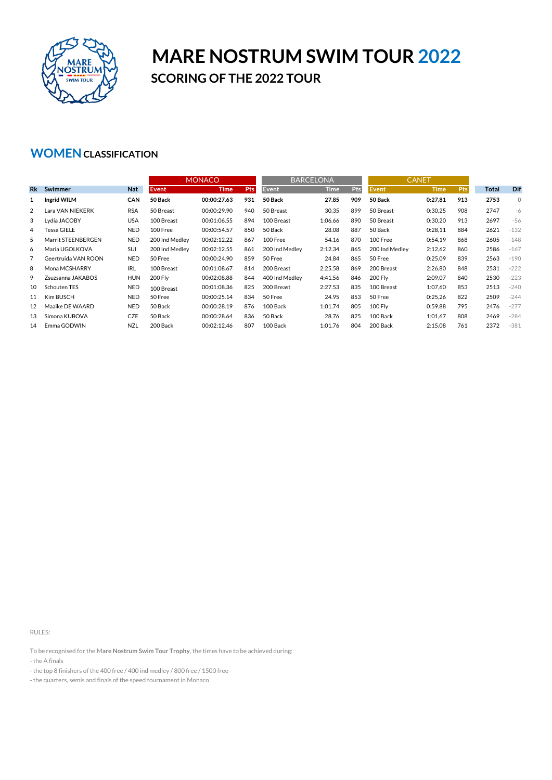

## **MARE NOSTRUM SWIM TOUR 2022 SCORING OF THE 2022 TOUR**

## **WOMENCLASSIFICATION**

|                |                     |            | <b>MONACO</b>  |             |            | <b>BARCELONA</b> |             |     | <b>CANET</b>   |             |     |       |              |
|----------------|---------------------|------------|----------------|-------------|------------|------------------|-------------|-----|----------------|-------------|-----|-------|--------------|
| <b>Rk</b>      | Swimmer             | <b>Nat</b> | <b>Event</b>   | <b>Time</b> | <b>Pts</b> | Event            | <b>Time</b> | Pts | Event          | <b>Time</b> | Pts | Total | Dif          |
| 1              | Ingrid WILM         | CAN        | 50 Back        | 00:00:27.63 | 931        | 50 Back          | 27.85       | 909 | 50 Back        | 0:27,81     | 913 | 2753  | $\mathbf{0}$ |
| $\overline{2}$ | Lara VAN NIEKERK    | <b>RSA</b> | 50 Breast      | 00:00:29.90 | 940        | 50 Breast        | 30.35       | 899 | 50 Breast      | 0:30.25     | 908 | 2747  | -6           |
| 3              | Lydia JACOBY        | <b>USA</b> | 100 Breast     | 00:01:06.55 | 894        | 100 Breast       | 1:06.66     | 890 | 50 Breast      | 0:30,20     | 913 | 2697  | $-56$        |
| 4              | <b>Tessa GIELE</b>  | <b>NED</b> | 100 Free       | 00:00:54.57 | 850        | 50 Back          | 28.08       | 887 | 50 Back        | 0:28,11     | 884 | 2621  | $-132$       |
| 5              | Marrit STEENBERGEN  | <b>NED</b> | 200 Ind Medley | 00:02:12.22 | 867        | 100 Free         | 54.16       | 870 | 100 Free       | 0:54,19     | 868 | 2605  | $-148$       |
| 6              | Maria UGOLKOVA      | <b>SUI</b> | 200 Ind Medley | 00:02:12.55 | 861        | 200 Ind Medley   | 2:12.34     | 865 | 200 Ind Medlev | 2:12,62     | 860 | 2586  | $-167$       |
| 7              | Geertruida VAN ROON | <b>NED</b> | 50 Free        | 00:00:24.90 | 859        | 50 Free          | 24.84       | 865 | 50 Free        | 0:25,09     | 839 | 2563  | $-190$       |
| 8              | Mona MCSHARRY       | <b>IRL</b> | 100 Breast     | 00:01:08.67 | 814        | 200 Breast       | 2:25.58     | 869 | 200 Breast     | 2:26.80     | 848 | 2531  | $-222$       |
| 9              | Zsuzsanna JAKABOS   | <b>HUN</b> | 200 Fly        | 00:02:08.88 | 844        | 400 Ind Medley   | 4:41.56     | 846 | <b>200 Fly</b> | 2:09,07     | 840 | 2530  | $-223$       |
| 10             | Schouten TES        | <b>NED</b> | 100 Breast     | 00:01:08.36 | 825        | 200 Breast       | 2:27.53     | 835 | 100 Breast     | 1:07,60     | 853 | 2513  | $-240$       |
| 11             | Kim BUSCH           | <b>NED</b> | 50 Free        | 00:00:25.14 | 834        | 50 Free          | 24.95       | 853 | 50 Free        | 0:25,26     | 822 | 2509  | $-244$       |
| 12             | Maaike DE WAARD     | <b>NED</b> | 50 Back        | 00:00:28.19 | 876        | 100 Back         | 1:01.74     | 805 | <b>100 Flv</b> | 0:59.88     | 795 | 2476  | $-277$       |
| 13             | Simona KUBOVA       | <b>CZE</b> | 50 Back        | 00:00:28.64 | 836        | 50 Back          | 28.76       | 825 | 100 Back       | 1:01.67     | 808 | 2469  | $-284$       |
| 14             | Emma GODWIN         | <b>NZL</b> | 200 Back       | 00:02:12.46 | 807        | 100 Back         | 1:01.76     | 804 | 200 Back       | 2:15,08     | 761 | 2372  | $-381$       |

RULES:

To be recognised for the M**are Nostrum Swim Tour Trophy**, the times have to be achieved during:

- the A finals

- the quarters, semis and finals of the speed tournament in Monaco

<sup>-</sup> the top 8 finishers of the 400 free / 400 ind medley / 800 free / 1500 free